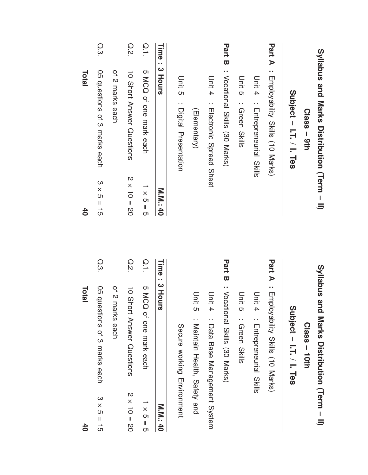|               | <b>Total</b>                                                                           |               | 40                 | Total                                                                                   |                |
|---------------|----------------------------------------------------------------------------------------|---------------|--------------------|-----------------------------------------------------------------------------------------|----------------|
| $\omega$      | O5 questions of 3 marks each                                                           | Q.3.          | $3 \times 5 = 15$  | O5 questions of 3 marks each                                                            | Q.3.           |
|               | of 2 marks each                                                                        |               |                    | of 2 marks each                                                                         |                |
| $\frac{N}{x}$ | 10 Short Answer Questions                                                              | Q.2           | $2 \times 10 = 20$ | 10 Short Answer Questions                                                               | Q.2            |
|               | <b>S MCQ</b><br>of one mark each                                                       | $\frac{0}{1}$ | $1 \times 5 = 5$   | 5 MCQ of one mark each                                                                  | $\overline{O}$ |
|               | : 3 Hours                                                                              | Time          | <b>M.M.140</b>     | : 3 Hours                                                                               | Time           |
|               | Secure working Environ                                                                 |               |                    | Unit 3 : Digital Presentation                                                           |                |
|               | Unit 5<br>Maintain Health, Safety                                                      |               |                    | (Elementary)                                                                            |                |
|               | Unit 4<br>Data Base Management                                                         |               |                    | Unit 4<br>: Electronic Spread Sheet                                                     |                |
|               | <b>Part B</b> : Vocational Skills (30 Marks)                                           |               |                    | Part B : Vocational Skills (30 Marks)                                                   |                |
|               | Unit 5<br>: Green Skills                                                               |               |                    | Unit 5 : Qreen Skills                                                                   |                |
|               | Unit 4<br>Enteprenential<br>Skills                                                     |               |                    | Unit 4<br>: Entepreneurial Skills                                                       |                |
|               | : Employability Skills (10 Marks)                                                      | Part A        |                    | : Employability Skills (10 Marks)                                                       | Part A         |
|               | <b>Syllabco and Marks Distribution (Jer</b><br>Subject - I.T. / I. Tes<br>Class - 10th |               |                    | Syllabus and Marks Distribution (Term - II)<br>Subject - I.T. / I. Tes<br>$Class - 9th$ |                |

System

Environment

M.<br>M.

 $\overline{\phantom{0}}$ × ת  $\overline{\phantom{a}}$ ת

N × さ  $\overline{\mathsf{I}}$ م<br>0

ω × সে  $\overline{\phantom{a}}$ —<br>თ

40

40

and

(Term

–  $\equiv$